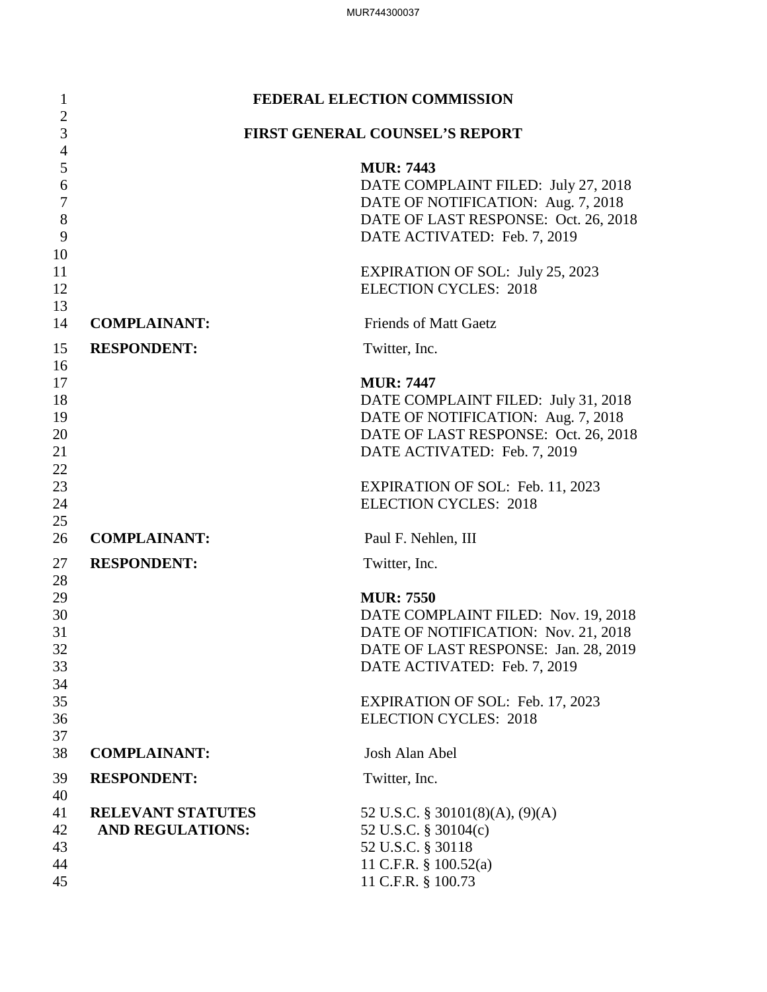| $\mathbf{1}$                                         | FEDERAL ELECTION COMMISSION                         |                                                                                                                                                                         |  |
|------------------------------------------------------|-----------------------------------------------------|-------------------------------------------------------------------------------------------------------------------------------------------------------------------------|--|
| $\overline{2}$<br>3                                  | FIRST GENERAL COUNSEL'S REPORT                      |                                                                                                                                                                         |  |
| $\overline{4}$<br>5<br>6<br>$\overline{7}$<br>8<br>9 |                                                     | <b>MUR</b> : 7443<br>DATE COMPLAINT FILED: July 27, 2018<br>DATE OF NOTIFICATION: Aug. 7, 2018<br>DATE OF LAST RESPONSE: Oct. 26, 2018<br>DATE ACTIVATED: Feb. 7, 2019  |  |
| 10<br>11<br>12<br>13                                 |                                                     | <b>EXPIRATION OF SOL: July 25, 2023</b><br><b>ELECTION CYCLES: 2018</b>                                                                                                 |  |
| 14                                                   | <b>COMPLAINANT:</b>                                 | <b>Friends of Matt Gaetz</b>                                                                                                                                            |  |
| 15                                                   | <b>RESPONDENT:</b>                                  | Twitter, Inc.                                                                                                                                                           |  |
| 16<br>17<br>18<br>19<br>20<br>21                     |                                                     | <b>MUR: 7447</b><br>DATE COMPLAINT FILED: July 31, 2018<br>DATE OF NOTIFICATION: Aug. 7, 2018<br>DATE OF LAST RESPONSE: Oct. 26, 2018<br>DATE ACTIVATED: Feb. 7, 2019   |  |
| 22<br>23<br>24                                       |                                                     | <b>EXPIRATION OF SOL: Feb. 11, 2023</b><br><b>ELECTION CYCLES: 2018</b>                                                                                                 |  |
| 25<br>26                                             | <b>COMPLAINANT:</b>                                 | Paul F. Nehlen, III                                                                                                                                                     |  |
| 27                                                   | <b>RESPONDENT:</b>                                  | Twitter, Inc.                                                                                                                                                           |  |
| 28<br>29<br>30<br>31<br>32<br>33<br>34               |                                                     | <b>MUR</b> : 7550<br>DATE COMPLAINT FILED: Nov. 19, 2018<br>DATE OF NOTIFICATION: Nov. 21, 2018<br>DATE OF LAST RESPONSE: Jan. 28, 2019<br>DATE ACTIVATED: Feb. 7, 2019 |  |
| 35<br>36<br>37                                       |                                                     | <b>EXPIRATION OF SOL: Feb. 17, 2023</b><br><b>ELECTION CYCLES: 2018</b>                                                                                                 |  |
| 38                                                   | <b>COMPLAINANT:</b>                                 | Josh Alan Abel                                                                                                                                                          |  |
| 39                                                   | <b>RESPONDENT:</b>                                  | Twitter, Inc.                                                                                                                                                           |  |
| 40<br>41<br>42<br>43<br>44<br>45                     | <b>RELEVANT STATUTES</b><br><b>AND REGULATIONS:</b> | 52 U.S.C. § 30101(8)(A), $(9)(A)$<br>52 U.S.C. § 30104(c)<br>52 U.S.C. § 30118<br>11 C.F.R. § 100.52(a)<br>11 C.F.R. § 100.73                                           |  |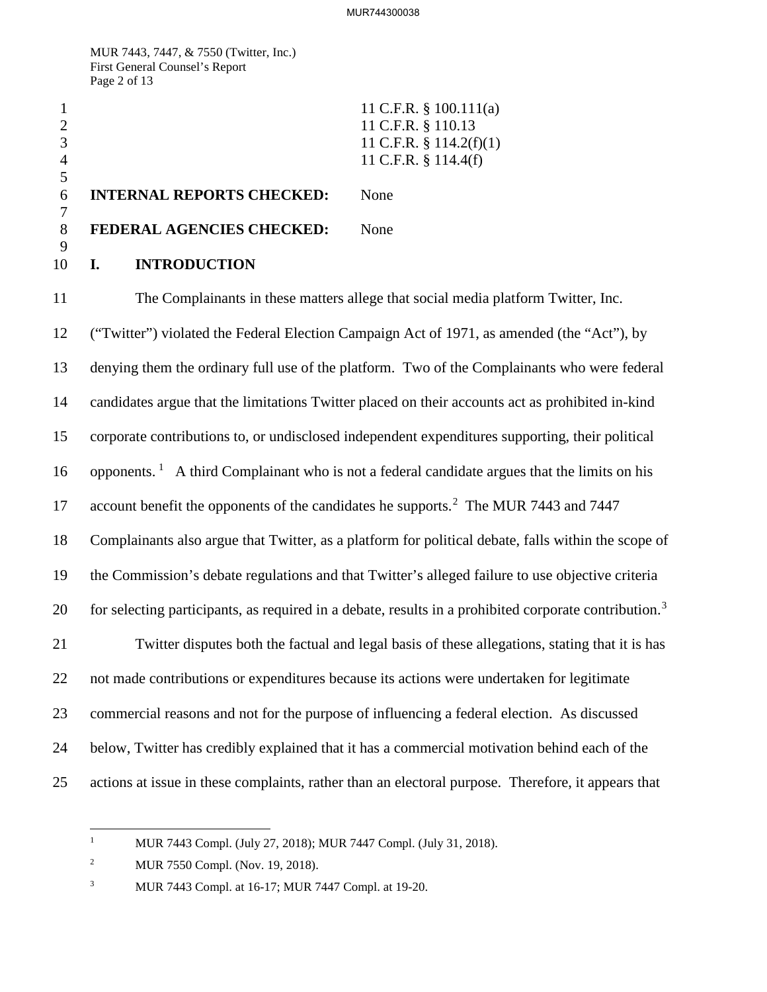MUR 7443, 7447, & 7550 (Twitter, Inc.) First General Counsel's Report Page 2 of 13

|   |                                  | 11 C.F.R. § 100.111(a)     |
|---|----------------------------------|----------------------------|
|   |                                  | 11 C.F.R. § 110.13         |
|   |                                  | 11 C.F.R. $\S$ 114.2(f)(1) |
|   |                                  | 11 C.F.R. $§$ 114.4(f)     |
|   |                                  |                            |
| 6 | <b>INTERNAL REPORTS CHECKED:</b> | None                       |
|   |                                  |                            |
| 8 | <b>FEDERAL AGENCIES CHECKED:</b> | None                       |
|   |                                  |                            |
|   | <b>INTRODUCTION</b>              |                            |

11 The Complainants in these matters allege that social media platform Twitter, Inc. 12 ("Twitter") violated the Federal Election Campaign Act of 1971, as amended (the "Act"), by 13 denying them the ordinary full use of the platform. Two of the Complainants who were federal 14 candidates argue that the limitations Twitter placed on their accounts act as prohibited in-kind 15 corporate contributions to, or undisclosed independent expenditures supporting, their political [1](#page-1-0)6 opponents.<sup>1</sup> A third Complainant who is not a federal candidate argues that the limits on his 17 account benefit the opponents of the candidates he supports.<sup>2</sup> The MUR 7443 and 7447 18 Complainants also argue that Twitter, as a platform for political debate, falls within the scope of 19 the Commission's debate regulations and that Twitter's alleged failure to use objective criteria  $\,$  for selecting participants, as required in a debate, results in a prohibited corporate contribution.<sup>[3](#page-1-2)</sup> 21 Twitter disputes both the factual and legal basis of these allegations, stating that it is has 22 not made contributions or expenditures because its actions were undertaken for legitimate 23 commercial reasons and not for the purpose of influencing a federal election. As discussed 24 below, Twitter has credibly explained that it has a commercial motivation behind each of the 25 actions at issue in these complaints, rather than an electoral purpose. Therefore, it appears that

 $\frac{1}{1}$ MUR 7443 Compl. (July 27, 2018); MUR 7447 Compl. (July 31, 2018).

<span id="page-1-1"></span><span id="page-1-0"></span><sup>2</sup> MUR 7550 Compl. (Nov. 19, 2018).

<span id="page-1-2"></span><sup>3</sup> MUR 7443 Compl. at 16-17; MUR 7447 Compl. at 19-20.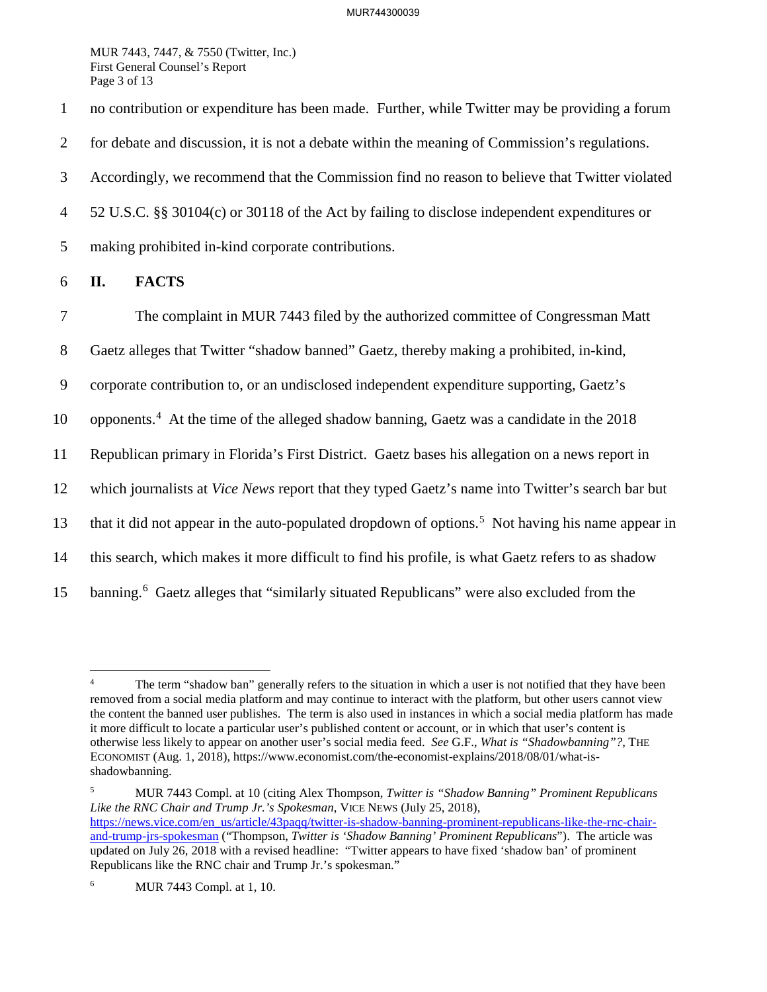MUR 7443, 7447, & 7550 (Twitter, Inc.) First General Counsel's Report Page 3 of 13

1 no contribution or expenditure has been made. Further, while Twitter may be providing a forum 2 for debate and discussion, it is not a debate within the meaning of Commission's regulations. 3 Accordingly, we recommend that the Commission find no reason to believe that Twitter violated 4 52 U.S.C. §§ 30104(c) or 30118 of the Act by failing to disclose independent expenditures or 5 making prohibited in-kind corporate contributions. 6 **II. FACTS** 7 The complaint in MUR 7443 filed by the authorized committee of Congressman Matt

8 Gaetz alleges that Twitter "shadow banned" Gaetz, thereby making a prohibited, in-kind,

9 corporate contribution to, or an undisclosed independent expenditure supporting, Gaetz's

10 opponents.<sup>[4](#page-2-0)</sup> At the time of the alleged shadow banning, Gaetz was a candidate in the  $2018$ 

11 Republican primary in Florida's First District. Gaetz bases his allegation on a news report in

12 which journalists at *Vice News* report that they typed Gaetz's name into Twitter's search bar but

13 that it did not appear in the auto-populated dropdown of options.<sup>[5](#page-2-1)</sup> Not having his name appear in

14 this search, which makes it more difficult to find his profile, is what Gaetz refers to as shadow

15 banning.<sup>[6](#page-2-2)</sup> Gaetz alleges that "similarly situated Republicans" were also excluded from the

<span id="page-2-1"></span>5 MUR 7443 Compl. at 10 (citing Alex Thompson, *Twitter is "Shadow Banning" Prominent Republicans Like the RNC Chair and Trump Jr.'s Spokesman*, VICE NEWS (July 25, 2018), [https://news.vice.com/en\\_us/article/43paqq/twitter-is-shadow-banning-prominent-republicans-like-the-rnc-chair](https://news.vice.com/en_us/article/43paqq/twitter-is-shadow-banning-prominent-republicans-like-the-rnc-chair-and-trump-jrs-spokesman)[and-trump-jrs-spokesman](https://news.vice.com/en_us/article/43paqq/twitter-is-shadow-banning-prominent-republicans-like-the-rnc-chair-and-trump-jrs-spokesman) ("Thompson, *Twitter is 'Shadow Banning' Prominent Republicans*"). The article was updated on July 26, 2018 with a revised headline: "Twitter appears to have fixed 'shadow ban' of prominent Republicans like the RNC chair and Trump Jr.'s spokesman."

<span id="page-2-0"></span> $\frac{1}{4}$  The term "shadow ban" generally refers to the situation in which a user is not notified that they have been removed from a social media platform and may continue to interact with the platform, but other users cannot view the content the banned user publishes. The term is also used in instances in which a social media platform has made it more difficult to locate a particular user's published content or account, or in which that user's content is otherwise less likely to appear on another user's social media feed. *See* G.F., *What is "Shadowbanning"?*, THE ECONOMIST (Aug. 1, 2018), https://www.economist.com/the-economist-explains/2018/08/01/what-isshadowbanning.

<span id="page-2-2"></span><sup>6</sup> MUR 7443 Compl. at 1, 10.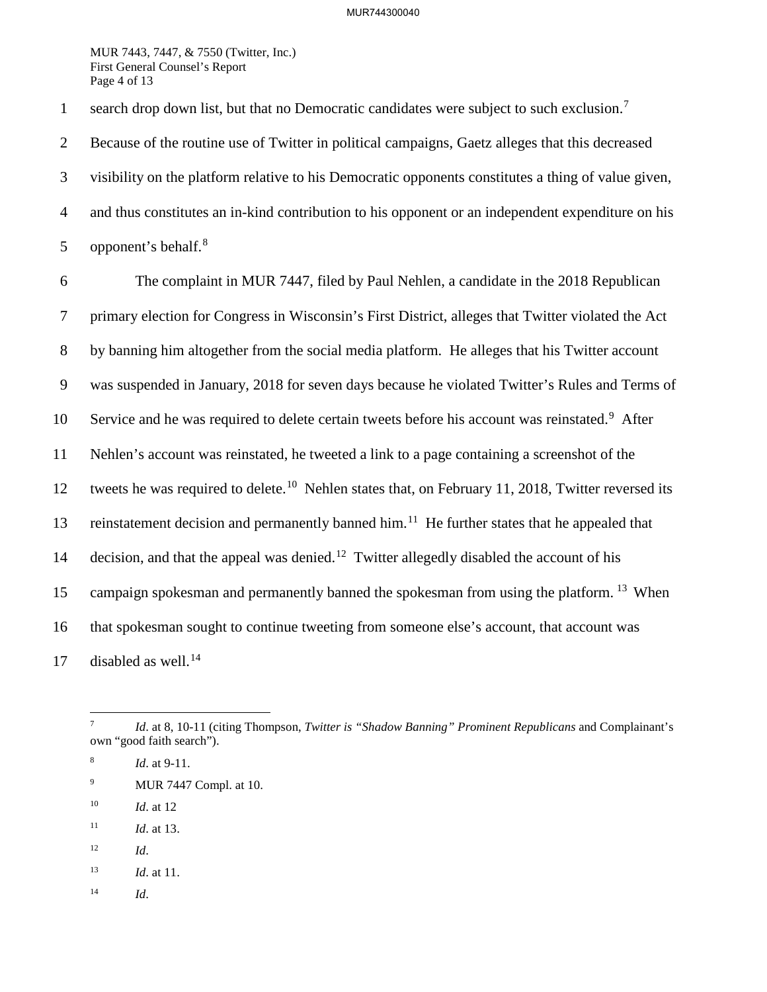## MUR744300040

MUR 7443, 7447, & 7550 (Twitter, Inc.) First General Counsel's Report Page 4 of 13

1 search drop down list, but that no Democratic candidates were subject to such exclusion.<sup>[7](#page-3-0)</sup>

2 Because of the routine use of Twitter in political campaigns, Gaetz alleges that this decreased 3 visibility on the platform relative to his Democratic opponents constitutes a thing of value given, 4 and thus constitutes an in-kind contribution to his opponent or an independent expenditure on his 5 opponent's behalf. $8$ 

6 The complaint in MUR 7447, filed by Paul Nehlen, a candidate in the 2018 Republican 7 primary election for Congress in Wisconsin's First District, alleges that Twitter violated the Act 8 by banning him altogether from the social media platform. He alleges that his Twitter account 9 was suspended in January, 2018 for seven days because he violated Twitter's Rules and Terms of 10 Service and he was required to delete certain tweets before his account was reinstated.<sup>[9](#page-3-2)</sup> After 11 Nehlen's account was reinstated, he tweeted a link to a page containing a screenshot of the 12 tweets he was required to delete.<sup>[10](#page-3-3)</sup> Nehlen states that, on February 11, 2018, Twitter reversed its 13 reinstatement decision and permanently banned him.<sup>[11](#page-3-4)</sup> He further states that he appealed that 14 decision, and that the appeal was denied.<sup>[12](#page-3-5)</sup> Twitter allegedly disabled the account of his 15 campaign spokesman and permanently banned the spokesman from using the platform. <sup>[13](#page-3-6)</sup> When 16 that spokesman sought to continue tweeting from someone else's account, that account was 17 disabled as well.<sup>[14](#page-3-7)</sup>

- <span id="page-3-2"></span>9 MUR 7447 Compl. at 10.
- <span id="page-3-3"></span>10 *Id*. at 12
- <span id="page-3-4"></span>11 *Id*. at 13.
- <span id="page-3-5"></span> $12$  *Id.*
- <span id="page-3-6"></span>13 *Id*. at 11.
- <span id="page-3-7"></span>14 *Id*.

<span id="page-3-0"></span><sup>-&</sup>lt;br>7 *Id*. at 8, 10-11 (citing Thompson, *Twitter is "Shadow Banning" Prominent Republicans* and Complainant's own "good faith search").

<span id="page-3-1"></span><sup>8</sup> *Id*. at 9-11.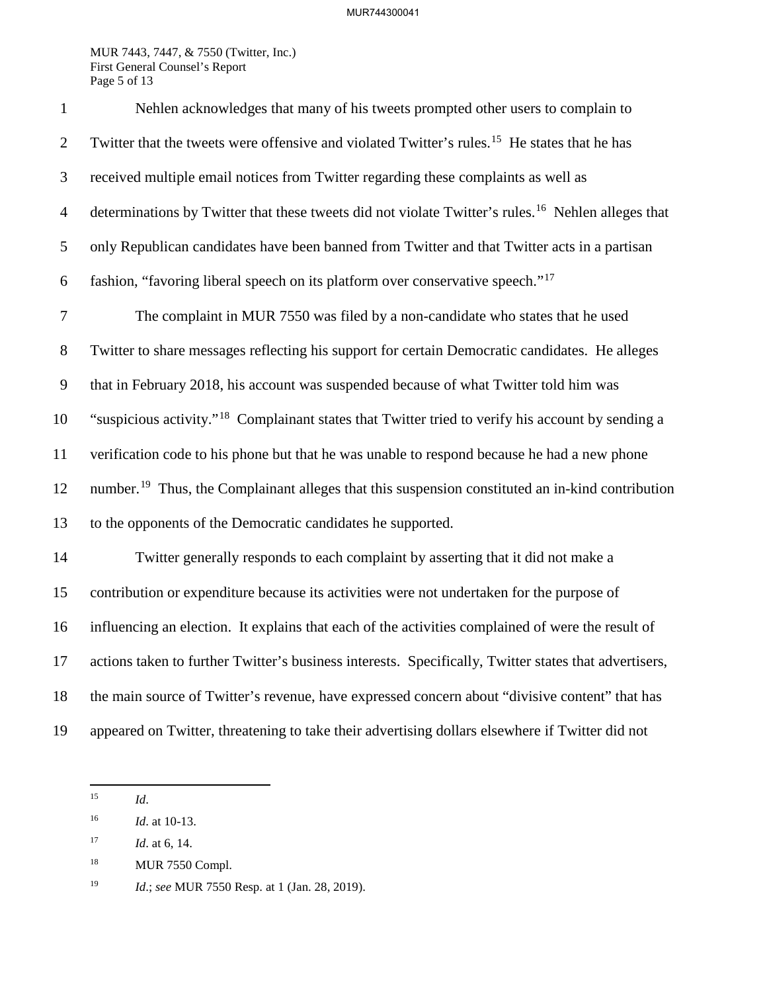## MUR744300041

MUR 7443, 7447, & 7550 (Twitter, Inc.) First General Counsel's Report Page 5 of 13

| $\mathbf{1}$   | Nehlen acknowledges that many of his tweets prompted other users to complain to                                |
|----------------|----------------------------------------------------------------------------------------------------------------|
| $\overline{2}$ | Twitter that the tweets were offensive and violated Twitter's rules. <sup>15</sup> He states that he has       |
| 3              | received multiple email notices from Twitter regarding these complaints as well as                             |
| $\overline{4}$ | determinations by Twitter that these tweets did not violate Twitter's rules. <sup>16</sup> Nehlen alleges that |
| 5              | only Republican candidates have been banned from Twitter and that Twitter acts in a partisan                   |
| 6              | fashion, "favoring liberal speech on its platform over conservative speech." <sup>17</sup>                     |
| $\overline{7}$ | The complaint in MUR 7550 was filed by a non-candidate who states that he used                                 |
| 8              | Twitter to share messages reflecting his support for certain Democratic candidates. He alleges                 |
| 9              | that in February 2018, his account was suspended because of what Twitter told him was                          |
| 10             | "suspicious activity." <sup>18</sup> Complainant states that Twitter tried to verify his account by sending a  |
| 11             | verification code to his phone but that he was unable to respond because he had a new phone                    |
| 12             | number. <sup>19</sup> Thus, the Complainant alleges that this suspension constituted an in-kind contribution   |
| 13             | to the opponents of the Democratic candidates he supported.                                                    |
| 14             | Twitter generally responds to each complaint by asserting that it did not make a                               |
| 15             | contribution or expenditure because its activities were not undertaken for the purpose of                      |
| 16             | influencing an election. It explains that each of the activities complained of were the result of              |
| 17             | actions taken to further Twitter's business interests. Specifically, Twitter states that advertisers,          |
| 18             | the main source of Twitter's revenue, have expressed concern about "divisive content" that has                 |
| 19             | appeared on Twitter, threatening to take their advertising dollars elsewhere if Twitter did not                |

<span id="page-4-0"></span> $15\,$ 15 *Id*.

<span id="page-4-1"></span><sup>16</sup> *Id*. at 10-13.

<span id="page-4-2"></span><sup>17</sup> *Id*. at 6, 14.

<span id="page-4-3"></span><sup>&</sup>lt;sup>18</sup> MUR 7550 Compl.

<span id="page-4-4"></span><sup>19</sup> *Id*.; *see* MUR 7550 Resp. at 1 (Jan. 28, 2019).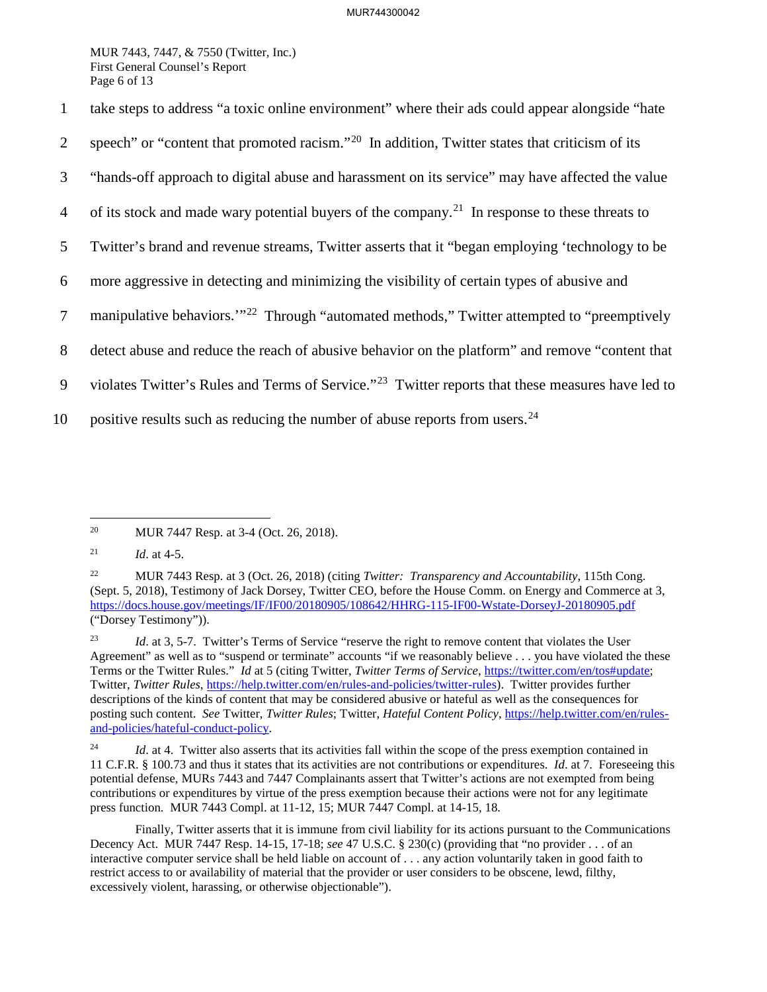MUR 7443, 7447, & 7550 (Twitter, Inc.) First General Counsel's Report Page 6 of 13

1 take steps to address "a toxic online environment" where their ads could appear alongside "hate

- 2 speech" or "content that promoted racism."<sup>[20](#page-5-0)</sup> In addition, Twitter states that criticism of its
- 3 "hands-off approach to digital abuse and harassment on its service" may have affected the value
- 4 of its stock and made wary potential buyers of the company.<sup>[21](#page-5-1)</sup> In response to these threats to
- 5 Twitter's brand and revenue streams, Twitter asserts that it "began employing 'technology to be
- 6 more aggressive in detecting and minimizing the visibility of certain types of abusive and
- 7 manipulative behaviors.<sup>'"[22](#page-5-2)</sup> Through "automated methods," Twitter attempted to "preemptively
- 8 detect abuse and reduce the reach of abusive behavior on the platform" and remove "content that
- 9 violates Twitter's Rules and Terms of Service."<sup>[23](#page-5-3)</sup> Twitter reports that these measures have led to
- 10 positive results such as reducing the number of abuse reports from users.<sup>[24](#page-5-4)</sup>

<span id="page-5-0"></span> $20\,$ MUR 7447 Resp. at 3-4 (Oct. 26, 2018).

<span id="page-5-1"></span><sup>21</sup> *Id*. at 4-5.

<span id="page-5-2"></span><sup>22</sup> MUR 7443 Resp. at 3 (Oct. 26, 2018) (citing *Twitter: Transparency and Accountability*, 115th Cong. (Sept. 5, 2018), Testimony of Jack Dorsey, Twitter CEO, before the House Comm. on Energy and Commerce at 3, <https://docs.house.gov/meetings/IF/IF00/20180905/108642/HHRG-115-IF00-Wstate-DorseyJ-20180905.pdf> ("Dorsey Testimony")).

<span id="page-5-3"></span><sup>&</sup>lt;sup>23</sup> *Id.* at 3, 5-7. Twitter's Terms of Service "reserve the right to remove content that violates the User Agreement" as well as to "suspend or terminate" accounts "if we reasonably believe . . . you have violated the these Terms or the Twitter Rules." *Id* at 5 (citing Twitter, *Twitter Terms of Service*, [https://twitter.com/en/tos#update;](https://twitter.com/en/tos#update) Twitter, *Twitter Rules*, [https://help.twitter.com/en/rules-and-policies/twitter-rules\)](https://help.twitter.com/en/rules-and-policies/twitter-rules). Twitter provides further descriptions of the kinds of content that may be considered abusive or hateful as well as the consequences for posting such content. *See* Twitter, *Twitter Rules*; Twitter, *Hateful Content Policy*, [https://help.twitter.com/en/rules](https://help.twitter.com/en/rules-and-policies/hateful-conduct-policy)[and-policies/hateful-conduct-policy.](https://help.twitter.com/en/rules-and-policies/hateful-conduct-policy)

<span id="page-5-4"></span><sup>&</sup>lt;sup>24</sup> *Id.* at 4. Twitter also asserts that its activities fall within the scope of the press exemption contained in 11 C.F.R. § 100.73 and thus it states that its activities are not contributions or expenditures. *Id*. at 7. Foreseeing this potential defense, MURs 7443 and 7447 Complainants assert that Twitter's actions are not exempted from being contributions or expenditures by virtue of the press exemption because their actions were not for any legitimate press function. MUR 7443 Compl. at 11-12, 15; MUR 7447 Compl. at 14-15, 18.

Finally, Twitter asserts that it is immune from civil liability for its actions pursuant to the Communications Decency Act. MUR 7447 Resp. 14-15, 17-18; *see* 47 U.S.C. § 230(c) (providing that "no provider . . . of an interactive computer service shall be held liable on account of . . . any action voluntarily taken in good faith to restrict access to or availability of material that the provider or user considers to be obscene, lewd, filthy, excessively violent, harassing, or otherwise objectionable").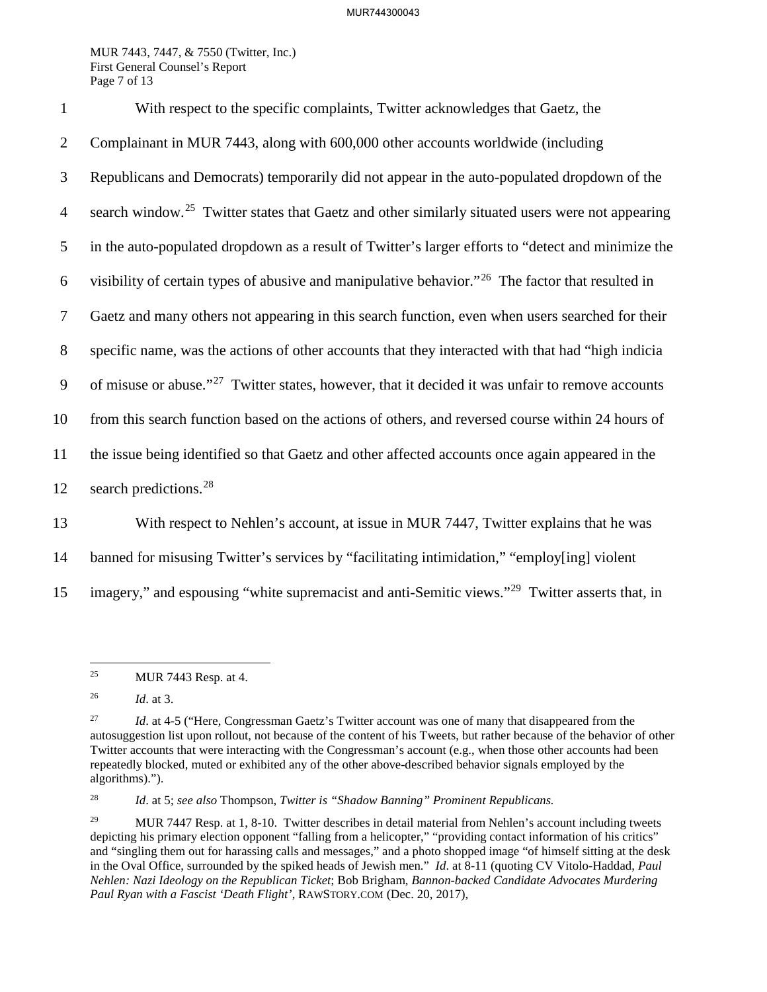MUR 7443, 7447, & 7550 (Twitter, Inc.) First General Counsel's Report Page 7 of 13

1 With respect to the specific complaints, Twitter acknowledges that Gaetz, the 2 Complainant in MUR 7443, along with 600,000 other accounts worldwide (including 3 Republicans and Democrats) temporarily did not appear in the auto-populated dropdown of the 4 search window.<sup>[25](#page-6-0)</sup> Twitter states that Gaetz and other similarly situated users were not appearing 5 in the auto-populated dropdown as a result of Twitter's larger efforts to "detect and minimize the 6 visibility of certain types of abusive and manipulative behavior."<sup>[26](#page-6-1)</sup> The factor that resulted in 7 Gaetz and many others not appearing in this search function, even when users searched for their 8 specific name, was the actions of other accounts that they interacted with that had "high indicia 9 of misuse or abuse."<sup>[27](#page-6-2)</sup> Twitter states, however, that it decided it was unfair to remove accounts 10 from this search function based on the actions of others, and reversed course within 24 hours of 11 the issue being identified so that Gaetz and other affected accounts once again appeared in the 12 search predictions.<sup>[28](#page-6-3)</sup> 13 With respect to Nehlen's account, at issue in MUR 7447, Twitter explains that he was

14 banned for misusing Twitter's services by "facilitating intimidation," "employ[ing] violent

15 imagery," and espousing "white supremacist and anti-Semitic views."<sup>[29](#page-6-4)</sup> Twitter asserts that, in

<span id="page-6-3"></span>28 *Id*. at 5; *see also* Thompson, *Twitter is "Shadow Banning" Prominent Republicans.*

<span id="page-6-0"></span> $25\,$ 25 MUR 7443 Resp. at 4.

<span id="page-6-1"></span><sup>26</sup> *Id*. at 3.

<span id="page-6-2"></span><sup>&</sup>lt;sup>27</sup> *Id.* at 4-5 ("Here, Congressman Gaetz's Twitter account was one of many that disappeared from the autosuggestion list upon rollout, not because of the content of his Tweets, but rather because of the behavior of other Twitter accounts that were interacting with the Congressman's account (e.g., when those other accounts had been repeatedly blocked, muted or exhibited any of the other above-described behavior signals employed by the algorithms).").

<span id="page-6-4"></span><sup>&</sup>lt;sup>29</sup> MUR 7447 Resp. at 1, 8-10. Twitter describes in detail material from Nehlen's account including tweets depicting his primary election opponent "falling from a helicopter," "providing contact information of his critics" and "singling them out for harassing calls and messages," and a photo shopped image "of himself sitting at the desk in the Oval Office, surrounded by the spiked heads of Jewish men." *Id*. at 8-11 (quoting CV Vitolo-Haddad, *Paul Nehlen: Nazi Ideology on the Republican Ticket*; Bob Brigham, *Bannon-backed Candidate Advocates Murdering Paul Ryan with a Fascist 'Death Flight'*, RAWSTORY.COM (Dec. 20, 2017),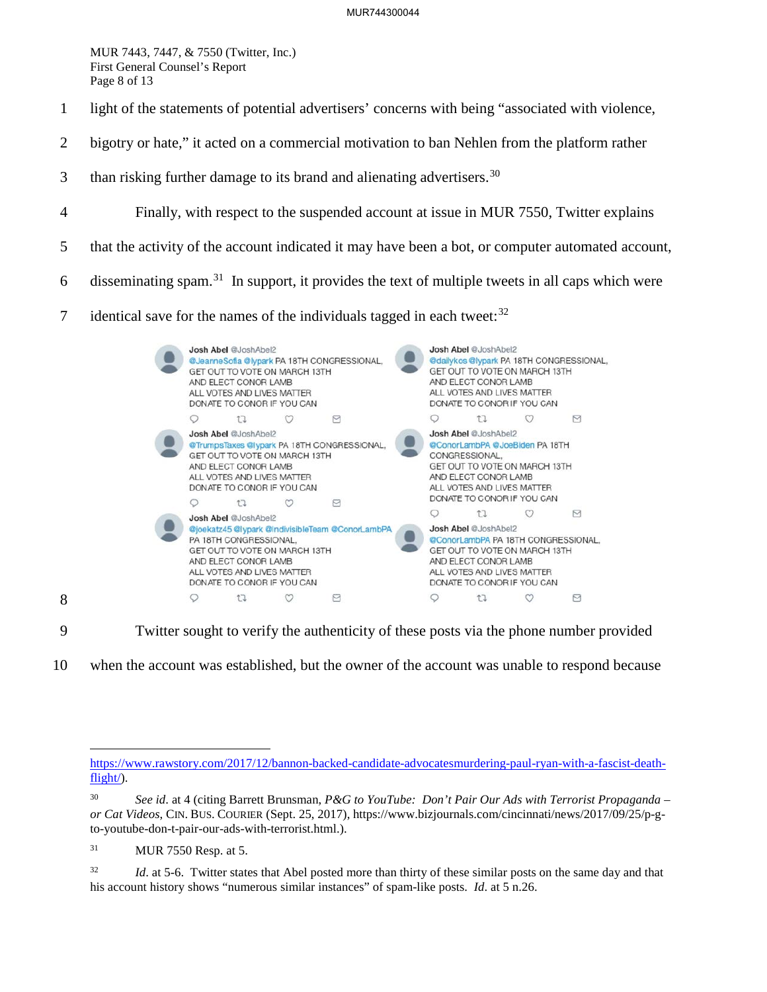MUR 7443, 7447, & 7550 (Twitter, Inc.) First General Counsel's Report Page 8 of 13

- 1 light of the statements of potential advertisers' concerns with being "associated with violence,
- 2 bigotry or hate," it acted on a commercial motivation to ban Nehlen from the platform rather
- 3 than risking further damage to its brand and alienating advertisers.<sup>[30](#page-7-0)</sup>
- 4 Finally, with respect to the suspended account at issue in MUR 7550, Twitter explains
- 5 that the activity of the account indicated it may have been a bot, or computer automated account,
- 6 disseminating spam.<sup>[31](#page-7-1)</sup> In support, it provides the text of multiple tweets in all caps which were
- 7 identical save for the names of the individuals tagged in each tweet: $32$



9 Twitter sought to verify the authenticity of these posts via the phone number provided

10 when the account was established, but the owner of the account was unable to respond because

8

 $\overline{a}$ 

[https://www.rawstory.com/2017/12/bannon-backed-candidate-advocatesmurdering-paul-ryan-with-a-fascist-death](https://www.rawstory.com/2017/12/bannon-backed-candidate-advocatesmurdering-paul-ryan-with-a-fascist-death-flight/)[flight/\)](https://www.rawstory.com/2017/12/bannon-backed-candidate-advocatesmurdering-paul-ryan-with-a-fascist-death-flight/).

<span id="page-7-0"></span><sup>30</sup> *See id*. at 4 (citing Barrett Brunsman, *P&G to YouTube: Don't Pair Our Ads with Terrorist Propaganda – or Cat Videos*, CIN. BUS. COURIER (Sept. 25, 2017), https://www.bizjournals.com/cincinnati/news/2017/09/25/p-gto-youtube-don-t-pair-our-ads-with-terrorist.html.).

<span id="page-7-1"></span><sup>31</sup> MUR 7550 Resp. at 5.

<span id="page-7-2"></span><sup>&</sup>lt;sup>32</sup> *Id.* at 5-6. Twitter states that Abel posted more than thirty of these similar posts on the same day and that his account history shows "numerous similar instances" of spam-like posts. *Id*. at 5 n.26.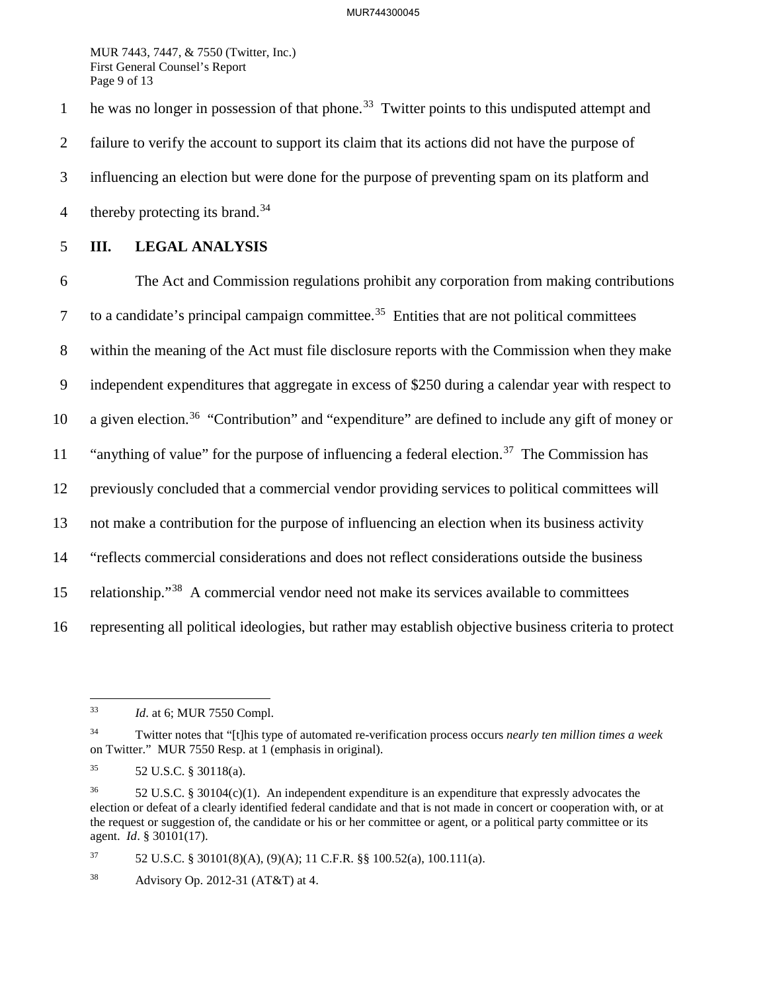MUR 7443, 7447, & 7550 (Twitter, Inc.) First General Counsel's Report Page 9 of 13

he was no longer in possession of that phone.<sup>[33](#page-8-0)</sup> Twitter points to this undisputed attempt and 2 failure to verify the account to support its claim that its actions did not have the purpose of 3 influencing an election but were done for the purpose of preventing spam on its platform and 4 thereby protecting its brand.<sup>[34](#page-8-1)</sup>

## 5 **III. LEGAL ANALYSIS**

6 The Act and Commission regulations prohibit any corporation from making contributions  $7$  to a candidate's principal campaign committee.<sup>[35](#page-8-2)</sup> Entities that are not political committees 8 within the meaning of the Act must file disclosure reports with the Commission when they make 9 independent expenditures that aggregate in excess of \$250 during a calendar year with respect to 10 a given election.<sup>36</sup> "Contribution" and "expenditure" are defined to include any gift of money or "anything of value" for the purpose of influencing a federal election.<sup>[37](#page-8-4)</sup> The Commission has 12 previously concluded that a commercial vendor providing services to political committees will 13 not make a contribution for the purpose of influencing an election when its business activity 14 "reflects commercial considerations and does not reflect considerations outside the business 15 relationship."<sup>[38](#page-8-5)</sup> A commercial vendor need not make its services available to committees 16 representing all political ideologies, but rather may establish objective business criteria to protect

<span id="page-8-0"></span><sup>33</sup> *Id.* at 6; MUR 7550 Compl.

<span id="page-8-1"></span><sup>34</sup> Twitter notes that "[t]his type of automated re-verification process occurs *nearly ten million times a week* on Twitter." MUR 7550 Resp. at 1 (emphasis in original).

<span id="page-8-2"></span><sup>35 52</sup> U.S.C. § 30118(a).

<span id="page-8-3"></span><sup>&</sup>lt;sup>36</sup> 52 U.S.C. § 30104(c)(1). An independent expenditure is an expenditure that expressly advocates the election or defeat of a clearly identified federal candidate and that is not made in concert or cooperation with, or at the request or suggestion of, the candidate or his or her committee or agent, or a political party committee or its agent. *Id*. § 30101(17).

<span id="page-8-4"></span><sup>&</sup>lt;sup>37</sup> 52 U.S.C. § 30101(8)(A), (9)(A); 11 C.F.R. §§ 100.52(a), 100.111(a).

<span id="page-8-5"></span><sup>38</sup> Advisory Op. 2012-31 (AT&T) at 4.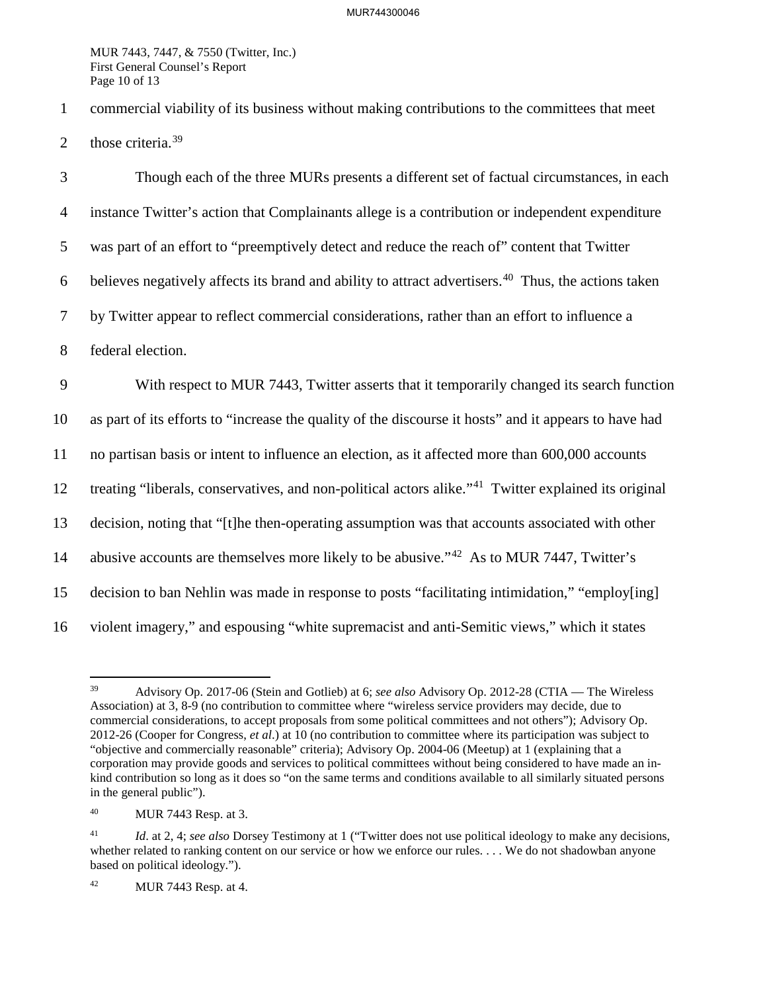MUR 7443, 7447, & 7550 (Twitter, Inc.) First General Counsel's Report Page 10 of 13

1 commercial viability of its business without making contributions to the committees that meet 2 those criteria.  $39$ 

3 Though each of the three MURs presents a different set of factual circumstances, in each 4 instance Twitter's action that Complainants allege is a contribution or independent expenditure 5 was part of an effort to "preemptively detect and reduce the reach of" content that Twitter 6 believes negatively affects its brand and ability to attract advertisers.<sup>[40](#page-9-1)</sup> Thus, the actions taken 7 by Twitter appear to reflect commercial considerations, rather than an effort to influence a 8 federal election. 9 With respect to MUR 7443, Twitter asserts that it temporarily changed its search function 10 as part of its efforts to "increase the quality of the discourse it hosts" and it appears to have had 11 no partisan basis or intent to influence an election, as it affected more than 600,000 accounts 12 treating "liberals, conservatives, and non-political actors alike."<sup>[41](#page-9-2)</sup> Twitter explained its original 13 decision, noting that "[t]he then-operating assumption was that accounts associated with other 14 abusive accounts are themselves more likely to be abusive."<sup>[42](#page-9-3)</sup> As to MUR 7447, Twitter's 15 decision to ban Nehlin was made in response to posts "facilitating intimidation," "employ[ing] 16 violent imagery," and espousing "white supremacist and anti-Semitic views," which it states

<span id="page-9-0"></span><sup>39</sup> 39 Advisory Op. 2017-06 (Stein and Gotlieb) at 6; *see also* Advisory Op. 2012-28 (CTIA — The Wireless Association) at 3, 8-9 (no contribution to committee where "wireless service providers may decide, due to commercial considerations, to accept proposals from some political committees and not others"); Advisory Op. 2012-26 (Cooper for Congress, *et al*.) at 10 (no contribution to committee where its participation was subject to "objective and commercially reasonable" criteria); Advisory Op. 2004-06 (Meetup) at 1 (explaining that a corporation may provide goods and services to political committees without being considered to have made an inkind contribution so long as it does so "on the same terms and conditions available to all similarly situated persons in the general public").

<span id="page-9-1"></span><sup>40</sup> MUR 7443 Resp. at 3.

<span id="page-9-2"></span><sup>41</sup> *Id*. at 2, 4; *see also* Dorsey Testimony at 1 ("Twitter does not use political ideology to make any decisions, whether related to ranking content on our service or how we enforce our rules.  $\dots$  We do not shadowban anyone based on political ideology.").

<span id="page-9-3"></span><sup>42</sup> MUR 7443 Resp. at 4.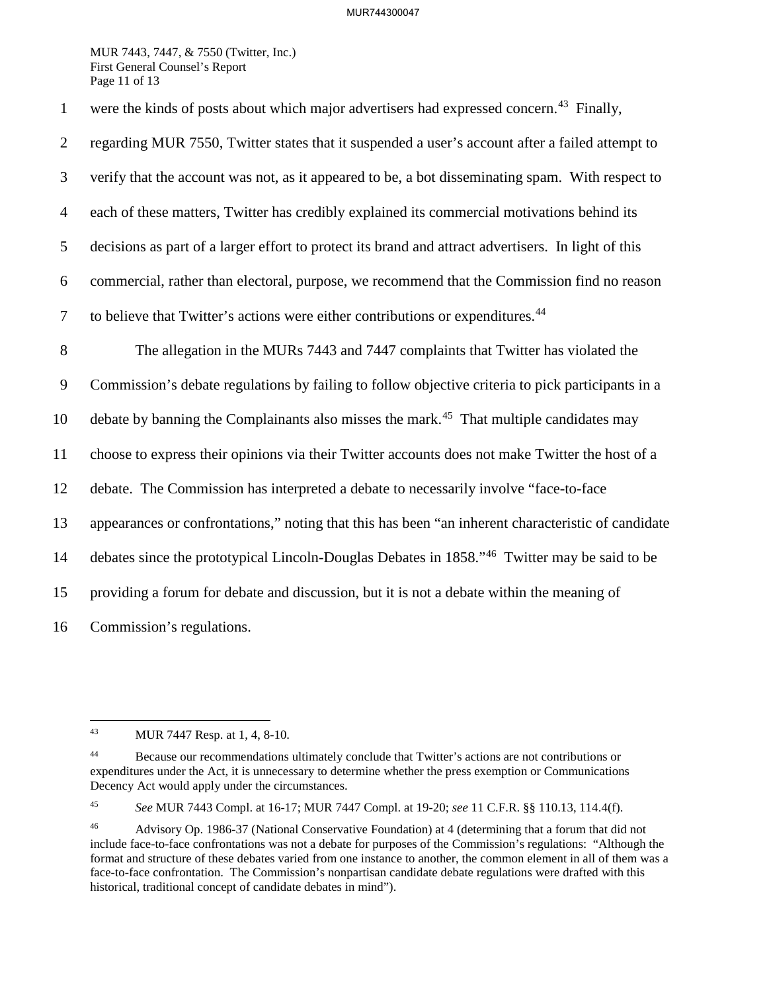## MUR744300047

MUR 7443, 7447, & 7550 (Twitter, Inc.) First General Counsel's Report Page 11 of 13

1 were the kinds of posts about which major advertisers had expressed concern.<sup>[43](#page-10-0)</sup> Finally, 2 regarding MUR 7550, Twitter states that it suspended a user's account after a failed attempt to 3 verify that the account was not, as it appeared to be, a bot disseminating spam. With respect to 4 each of these matters, Twitter has credibly explained its commercial motivations behind its 5 decisions as part of a larger effort to protect its brand and attract advertisers. In light of this 6 commercial, rather than electoral, purpose, we recommend that the Commission find no reason 7 to believe that Twitter's actions were either contributions or expenditures.<sup>[44](#page-10-1)</sup> 8 The allegation in the MURs 7443 and 7447 complaints that Twitter has violated the 9 Commission's debate regulations by failing to follow objective criteria to pick participants in a 10 debate by banning the Complainants also misses the mark.<sup>45</sup> That multiple candidates may 11 choose to express their opinions via their Twitter accounts does not make Twitter the host of a 12 debate. The Commission has interpreted a debate to necessarily involve "face-to-face 13 appearances or confrontations," noting that this has been "an inherent characteristic of candidate 14 debates since the prototypical Lincoln-Douglas Debates in 1858."<sup>[46](#page-10-3)</sup> Twitter may be said to be 15 providing a forum for debate and discussion, but it is not a debate within the meaning of 16 Commission's regulations.

<span id="page-10-2"></span>45 *See* MUR 7443 Compl. at 16-17; MUR 7447 Compl. at 19-20; *see* 11 C.F.R. §§ 110.13, 114.4(f).

<span id="page-10-0"></span><sup>43</sup> MUR 7447 Resp. at 1, 4, 8-10.

<span id="page-10-1"></span><sup>&</sup>lt;sup>44</sup> Because our recommendations ultimately conclude that Twitter's actions are not contributions or expenditures under the Act, it is unnecessary to determine whether the press exemption or Communications Decency Act would apply under the circumstances.

<span id="page-10-3"></span><sup>46</sup> Advisory Op. 1986-37 (National Conservative Foundation) at 4 (determining that a forum that did not include face-to-face confrontations was not a debate for purposes of the Commission's regulations: "Although the format and structure of these debates varied from one instance to another, the common element in all of them was a face-to-face confrontation. The Commission's nonpartisan candidate debate regulations were drafted with this historical, traditional concept of candidate debates in mind").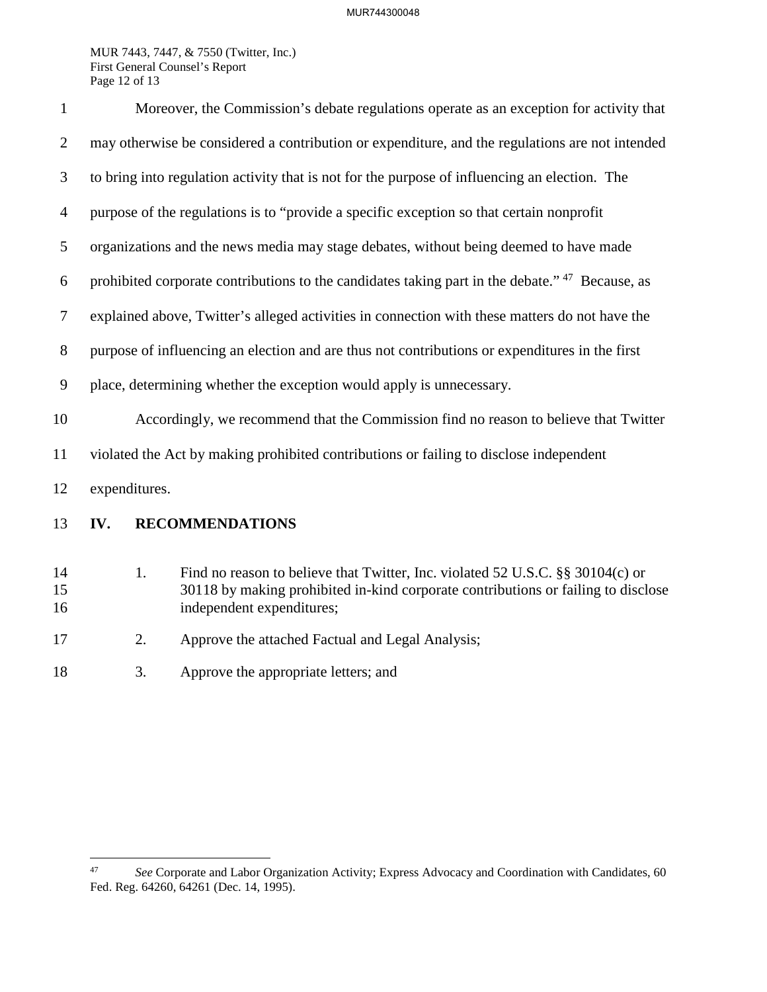MUR 7443, 7447, & 7550 (Twitter, Inc.) First General Counsel's Report Page 12 of 13

| $\mathbf{1}$   | Moreover, the Commission's debate regulations operate as an exception for activity that                    |    |                                                                                                                                                                                                  |  |
|----------------|------------------------------------------------------------------------------------------------------------|----|--------------------------------------------------------------------------------------------------------------------------------------------------------------------------------------------------|--|
| $\overline{2}$ | may otherwise be considered a contribution or expenditure, and the regulations are not intended            |    |                                                                                                                                                                                                  |  |
| 3              | to bring into regulation activity that is not for the purpose of influencing an election. The              |    |                                                                                                                                                                                                  |  |
| $\overline{4}$ | purpose of the regulations is to "provide a specific exception so that certain nonprofit                   |    |                                                                                                                                                                                                  |  |
| 5              | organizations and the news media may stage debates, without being deemed to have made                      |    |                                                                                                                                                                                                  |  |
| 6              | prohibited corporate contributions to the candidates taking part in the debate." <sup>47</sup> Because, as |    |                                                                                                                                                                                                  |  |
| 7              | explained above, Twitter's alleged activities in connection with these matters do not have the             |    |                                                                                                                                                                                                  |  |
| $8\,$          | purpose of influencing an election and are thus not contributions or expenditures in the first             |    |                                                                                                                                                                                                  |  |
| 9              | place, determining whether the exception would apply is unnecessary.                                       |    |                                                                                                                                                                                                  |  |
| 10             | Accordingly, we recommend that the Commission find no reason to believe that Twitter                       |    |                                                                                                                                                                                                  |  |
| 11             | violated the Act by making prohibited contributions or failing to disclose independent                     |    |                                                                                                                                                                                                  |  |
| 12             | expenditures.                                                                                              |    |                                                                                                                                                                                                  |  |
| 13             | IV.                                                                                                        |    | <b>RECOMMENDATIONS</b>                                                                                                                                                                           |  |
| 14<br>15<br>16 |                                                                                                            | 1. | Find no reason to believe that Twitter, Inc. violated 52 U.S.C. §§ 30104(c) or<br>30118 by making prohibited in-kind corporate contributions or failing to disclose<br>independent expenditures; |  |
| 17             |                                                                                                            | 2. | Approve the attached Factual and Legal Analysis;                                                                                                                                                 |  |

<sup>18 3.</sup> Approve the appropriate letters; and

<span id="page-11-0"></span> $47\,$ 47 *See* Corporate and Labor Organization Activity; Express Advocacy and Coordination with Candidates, 60 Fed. Reg. 64260, 64261 (Dec. 14, 1995).